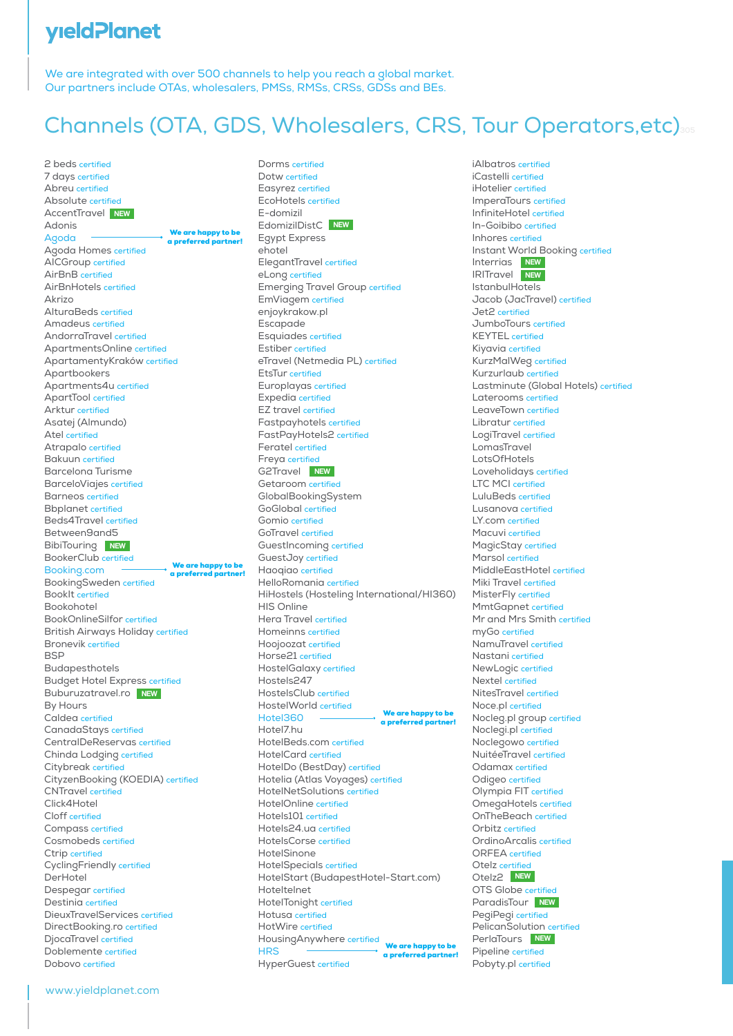#### **yield Planet**

We are integrated with over 500 channels to help you reach a global market. Our partners include OTAs, wholesalers, PMSs, RMSs, CRSs, GDSs and BEs.

# Channels (OTA, GDS, Wholesalers, CRS, Tour Operators, etc)305

2 beds certified 7 days certified Abreu certified Absolute certified AccentTravel **NEW**Adonis Agoda Agoda Homes certified AICGroup certified AirBnB certified AirBnHotels certified Akrizo AlturaBeds certified Amadeus certified AndorraTravel certified ApartmentsOnline certified ApartamentyKraków certified Apartbookers Apartments4u certified ApartTool certified Arktur certified Asatej (Almundo) Atel certified Atrapalo certified Bakuun certified Barcelona Turisme BarceloViajes certified Barneos certified Bbplanet certified Beds4Travel certified Between9and5 **BibiTouring** NEW BookerClub certified Booking.com BookingSweden certified BookIt certified Bookohotel BookOnlineSilfor certified British Airways Holiday certified Bronevik certified **BSP** Budapesthotels Budget Hotel Express certified Buburuzatravel.ro NEW By Hours Caldea certified CanadaStays certified CentralDeReservas certified Chinda Lodging certified Citybreak certified CityzenBooking (KOEDIA) certified CNTravel certified Click4Hotel Cloff certified Compass certified Cosmobeds certified Ctrip certified CyclingFriendly certified DerHotel Despegar certified Destinia certified DieuxTravelServices certified DirectBooking.ro certified DjocaTravel certified Doblemente certified Dobovo certified We are happy to be a preferred partner! We are happy to be a preferred partner!

Dorms certified Dotw certified Easyrez certified EcoHotels certified E-domizil EdomizilDistC **NEW** Egypt Express ehotel ElegantTravel certified eLong certified Emerging Travel Group certified EmViagem certified enjoykrakow.pl Escapade Esquiades certified Estiber certified eTravel (Netmedia PL) certified EtsTur certified Europlayas certified Expedia certified EZ travel certified Fastpayhotels certified FastPayHotels2 certified Feratel certified Freya certified G2Travel **NEW** Getaroom certified GlobalBookingSystem GoGlobal certified Gomio certified GoTravel certified GuestIncoming certified GuestJoy certified Haoqiao certified HelloRomania certified HiHostels (Hosteling International/HI360) HIS Online Hera Travel certified Homeinns certified Hoojoozat certified Horse21 certified HostelGalaxy certified Hostels247 HostelsClub certified HostelWorld certified Hotel360 Hotel7.hu HotelBeds.com certified HotelCard certified HotelDo (BestDay) certified Hotelia (Atlas Voyages) certified HotelNetSolutions certified HotelOnline certified Hotels101 certified Hotels24.ua certified HotelsCorse certified HotelSinone HotelSpecials certified HotelStart (BudapestHotel-Start.com) Hoteltelnet HotelTonight certified Hotusa certified HotWire certified HousingAnywhere certified **HRS** We are happy to be a preferred partner! We are happy to be a preferred partner!

HyperGuest certified

iAlbatros certified iCastelli certified iHotelier certified ImperaTours certified InfiniteHotel certified In-Goibibo certified Inhores certified Instant World Booking certified Interrias **NEW** IRITravel **NEW** IstanbulHotels Jacob (JacTravel) certified Jet2 certified JumboTours certified KEYTEL certified Kiyavia certified KurzMalWeg certified Kurzurlaub certified Lastminute (Global Hotels) certified Laterooms certified LeaveTown certified Libratur certified LogiTravel certified LomasTravel LotsOfHotels Loveholidays certified LTC MCI certified LuluBeds certified Lusanova certified LY.com certified Macuvi certified MagicStay certified Marsol certified MiddleEastHotel certified Miki Travel certified MisterFly certified MmtGapnet certified Mr and Mrs Smith certified myGo certified NamuTravel certified Nastani certified NewLogic certified Nextel certified NitesTravel certified Noce.pl certified Nocleg.pl group certified Noclegi.pl certified Noclegowo certified NuitéeTravel certified Odamax certified Odigeo certified Olympia FIT certified OmegaHotels certified OnTheBeach certified Orbitz certified OrdinoArcalis certified ORFEA certified Otelz certified Otelz2 **NEW** OTS Globe certified **ParadisTour** NEW PegiPegi certified PelicanSolution certified PerlaTours **NEW** Pipeline certified Pobyty.pl certified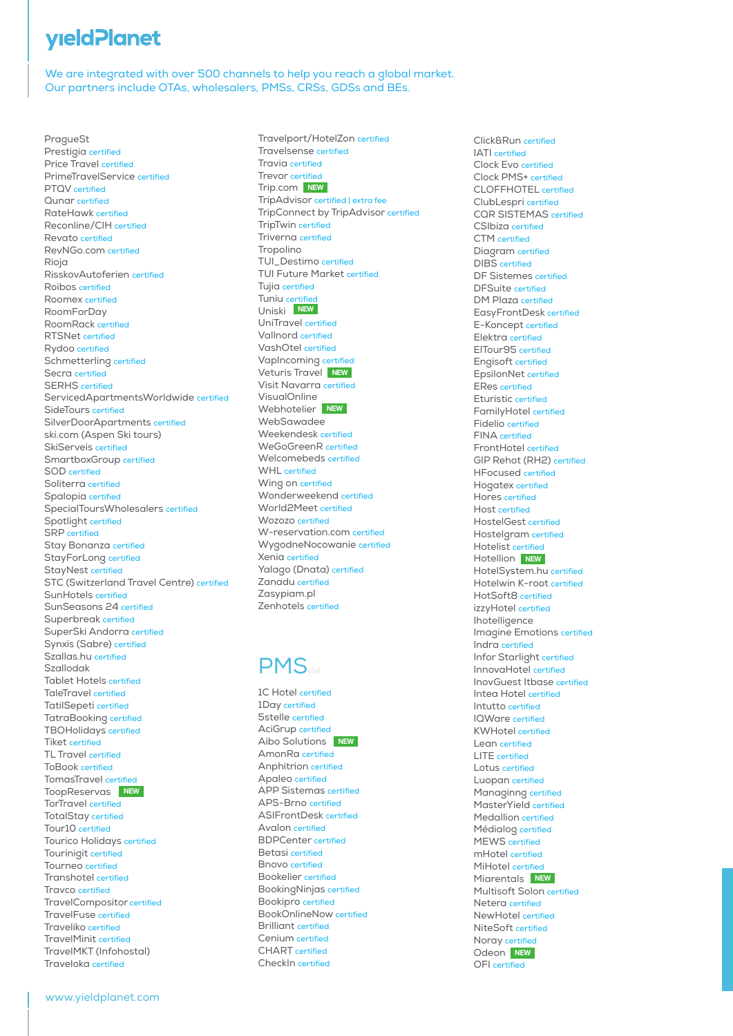## **yield Planet**

We are integrated with over 500 channels to help you reach a global market. Our partners include OTAs, wholesalers, PMSs, CRSs, GDSs and BEs.

PragueSt Prestigia certified Price Travel certified PrimeTravelService certified PTQV certified Qunar certified RateHawk certified Reconline/CIH certified Revato certified RevNGo.com certified Rioja RisskovAutoferien certified Roibos certified Roomex certified RoomForDay RoomRack certified RTSNet certified Rydoo certified Schmetterling certified Secra certified SERHS certified ServicedApartmentsWorldwide certified SideTours certified SilverDoorApartments certified ski.com (Aspen Ski tours) SkiServeis certified SmartboxGroup certified SOD certified Soliterra certified Spalopia certified SpecialToursWholesalers certified Spotlight certified SRP certified Stay Bonanza certified StayForLong certified StayNest certified STC (Switzerland Travel Centre) certified SunHotels certified SunSeasons 24 certified Superbreak certified SuperSki Andorra certified Synxis (Sabre) certified Szallas.hu certified Szallodak Tablet Hotels certified TaleTravel certified TatilSepeti certified TatraBooking certified TBOHolidays certified Tiket certified TL Travel certified ToBook certified TomasTravel certified ToopReservas **NEW** TorTravel certified TotalStay certified Tour10 certified Tourico Holidays certified Tourinigit certified Tourneo certified Transhotel certified Travco certified TravelCompositor certified TravelFuse certified Traveliko certified TravelMinit certified TravelMKT (Infohostal) Traveloka certified

Travelport/HotelZon certified Travelsense certified Travia certified Trevor certified Trip.com NEW TripAdvisor certified | extra fee TripConnect by TripAdvisor certified TripTwin certified Triverna certified Tropolino TUI\_Destimo certified TUI Future Market certified Tujia certified Tuniu certified Uniski **NEW** UniTravel certified Vallnord certified VashOtel certified VapIncoming certified Veturis Travel **NEW** Visit Navarra certified VisualOnline Webhotelier **NEW** WebSawadee Weekendesk certified WeGoGreenR certified Welcomebeds certified WHI certified Wing on certified Wonderweekend certified World2Meet certified Wozozo certified W-reservation.com certified WygodneNocowanie certified Xenia certified Yalago (Dnata) certified Zanadu certified Zasypiam.pl Zenhotels certified

#### **PMS**

1C Hotel certified 1Day certified 5stelle certified AciGrup certified Aibo Solutions **NEW** AmonRa certified Anphitrion certified Apaleo certified APP Sistemas certified APS-Brno certified ASIFrontDesk certified Avalon certified BDPCenter certified Betasi certified Bnovo certified Bookelier certified BookingNinjas certified Bookipro certified BookOnlineNow certified Brilliant certified Cenium certified CHART certified CheckIn certified

Click&Run certified IATI certified Clock Evo certified Clock PMS+ certified CLOFFHOTEL certified ClubLespri certified CQR SISTEMAS certified CSIbiza certified CTM certified Diagram certified DIBS certified DF Sistemes certified DFSuite certified DM Plaza certified EasyFrontDesk certified E-Koncept certified Elektra certified ElTour95 certified Engisoft certified EpsilonNet certified ERes certified Eturistic certified FamilyHotel certified Fidelio certified FINA certified FrontHotel certified GIP Rehot (RH2) certified HFocused certified Hogatex certified Hores certified Host certified HostelGest certified Hostelgram certified Hotelist certified Hotellion **NEW** HotelSystem.hu certified Hotelwin K-root certified HotSoft8 certified izzyHotel certified Ihotelligence Imagine Emotions certified Indra certified Infor Starlight certified InnovaHotel certified InovGuest Itbase certified Intea Hotel certified Intutto certified IQWare certified KWHotel certified Lean certified LITE certified Lotus certified Luopan certified Managinng certified MasterYield certified Medallion certified Médialog certified MEWS certified mHotel certified MiHotel certified Miarentals **NEW**Multisoft Solon certified Netera certified NewHotel certified NiteSoft certified Noray certified Odeon **NEW** OFI certified